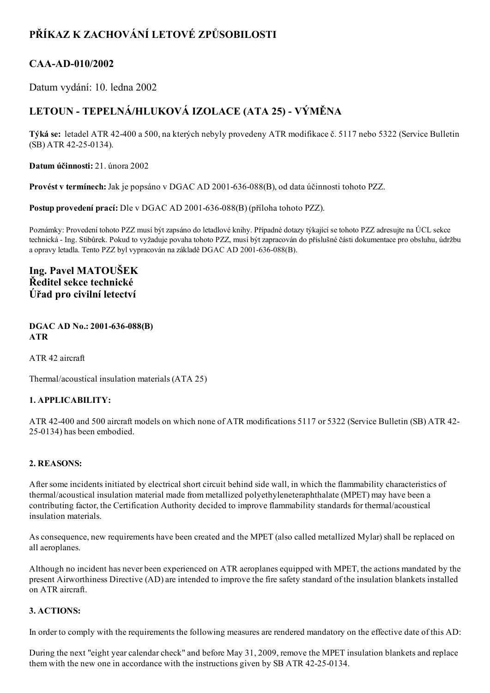## PŘÍKAZ K ZACHOVÁNÍ LETOVÉ ZPŮSOBILOSTI

## CAA-AD-010/2002

Datum vydání: 10. ledna 2002

# LETOUN - TEPELNÁ/HLUKOVÁ IZOLACE (ATA 25) - VÝMĚNA

Týká se: letadel ATR 42400 a 500, na kterých nebyly provedeny ATR modifikace č. 5117 nebo 5322 (Service Bulletin  $(SB)$  ATR 42-25-0134).

Datum účinnosti: 21. února 2002

Provést v termínech: Jak je popsáno v DGAC AD 2001-636-088(B), od data účinnosti tohoto PZZ.

Postup provedení prací: Dle v DGAC AD 2001-636-088(B) (příloha tohoto PZZ).

Poznámky: Provedení tohoto PZZ musí být zapsáno do letadlové knihy. Případné dotazy týkající se tohoto PZZ adresujte na ÚCL sekce technická Ing. Stibůrek. Pokud to vyžaduje povaha tohoto PZZ, musí být zapracován do příslušné části dokumentace pro obsluhu, údržbu a opravy letadla. Tento PZZ byl vypracován na základě DGAC AD 2001-636-088(B).

### Ing. Pavel MATOUŠEK Ředitel sekce technické Úřad pro civilní letectví

#### DGAC AD No.: 2001-636-088(B) ATR

ATR 42 aircraft

Thermal/acoustical insulation materials (ATA 25)

#### 1. APPLICABILITY:

ATR 42400 and 500 aircraft models on which none of ATR modifications 5117 or 5322 (Service Bulletin (SB) ATR 42 25-0134) has been embodied.

#### 2. REASONS:

After some incidents initiated by electrical short circuit behind side wall, in which the flammability characteristics of thermal/acoustical insulation material made from metallized polyethyleneteraphthalate (MPET) may have been a contributing factor, the Certification Authority decided to improve flammability standards for thermal/acoustical insulation materials.

As consequence, new requirements have been created and the MPET (also called metallized Mylar) shall be replaced on all aeroplanes.

Although no incident has never been experienced on ATR aeroplanes equipped with MPET, the actions mandated by the present Airworthiness Directive (AD) are intended to improve the fire safety standard of the insulation blankets installed on ATR aircraft.

#### 3. ACTIONS:

In order to comply with the requirements the following measures are rendered mandatory on the effective date of this AD:

During the next "eight year calendar check" and before May 31, 2009, remove the MPET insulation blankets and replace them with the new one in accordance with the instructions given by SB ATR 42-25-0134.